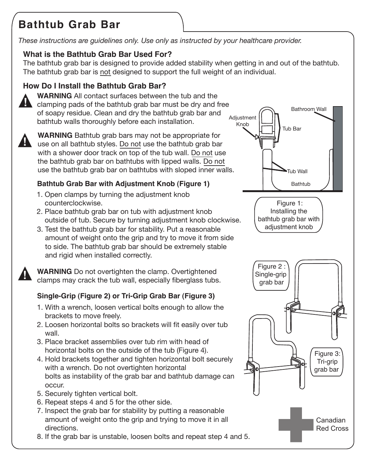# **Bathtub Grab Bar**

*These instructions are guidelines only. Use only as instructed by your healthcare provider.*

## **What is the Bathtub Grab Bar Used For?**

The bathtub grab bar is designed to provide added stability when getting in and out of the bathtub. The bathtub grab bar is not designed to support the full weight of an individual.

## **How Do I Install the Bathtub Grab Bar?**



**WARNING** All contact surfaces between the tub and the clamping pads of the bathtub grab bar must be dry and free of soapy residue. Clean and dry the bathtub grab bar and bathtub walls thoroughly before each installation.



**WARNING** Bathtub grab bars may not be appropriate for use on all bathtub styles. Do not use the bathtub grab bar with a shower door track on top of the tub wall. Do not use the bathtub grab bar on bathtubs with lipped walls. Do not use the bathtub grab bar on bathtubs with sloped inner walls.

## **Bathtub Grab Bar with Adjustment Knob (Figure 1)**

- 1. Open clamps by turning the adjustment knob counterclockwise.
- 2. Place bathtub grab bar on tub with adjustment knob outside of tub. Secure by turning adjustment knob clockwise.
- 3. Test the bathtub grab bar for stability. Put a reasonable amount of weight onto the grip and try to move it from side to side. The bathtub grab bar should be extremely stable and rigid when installed correctly.

**WARNING** Do not overtighten the clamp. Overtightened clamps may crack the tub wall, especially fiberglass tubs. **!**

# **Single-Grip (Figure 2) or Tri-Grip Grab Bar (Figure 3)**

- 1. With a wrench, loosen vertical bolts enough to allow the brackets to move freely.
- 2. Loosen horizontal bolts so brackets will fit easily over tub wall.
- 3. Place bracket assemblies over tub rim with head of horizontal bolts on the outside of the tub (Figure 4).
- 4. Hold brackets together and tighten horizontal bolt securely with a wrench. Do not overtighten horizontal bolts as instability of the grab bar and bathtub damage can occur.
- 5. Securely tighten vertical bolt.
- 6. Repeat steps 4 and 5 for the other side.
- 7. Inspect the grab bar for stability by putting a reasonable amount of weight onto the grip and trying to move it in all directions.
- 8. If the grab bar is unstable, loosen bolts and repeat step 4 and 5.